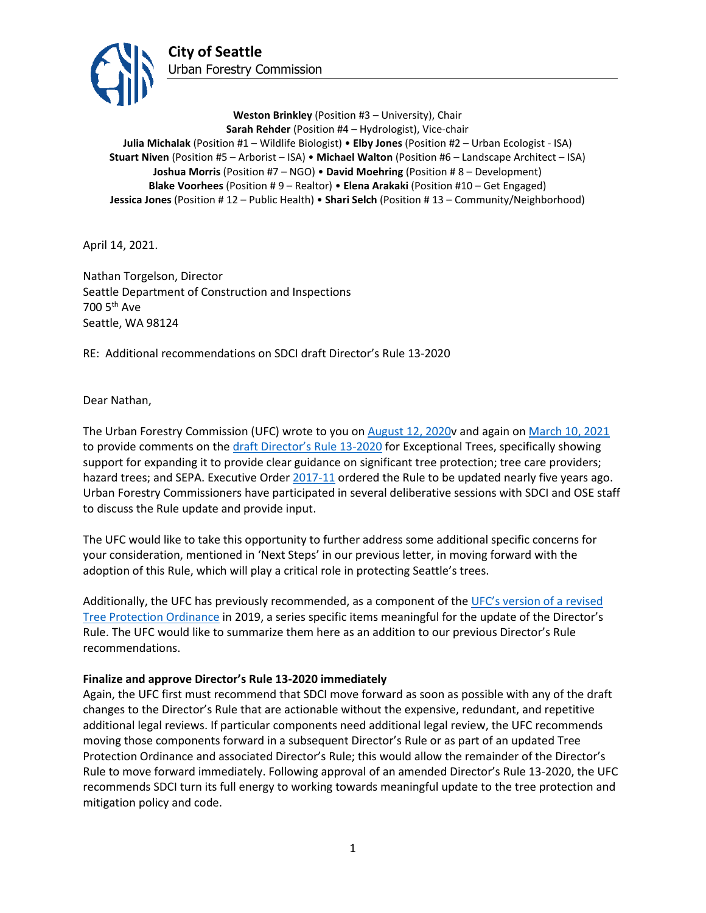

**Weston Brinkley** (Position #3 – University), Chair **Sarah Rehder** (Position #4 – Hydrologist), Vice-chair **Julia Michalak** (Position #1 – Wildlife Biologist) • **Elby Jones** (Position #2 – Urban Ecologist - ISA) **Stuart Niven** (Position #5 – Arborist – ISA) • **Michael Walton** (Position #6 – Landscape Architect – ISA) **Joshua Morris** (Position #7 – NGO) • **David Moehring** (Position # 8 – Development) **Blake Voorhees** (Position # 9 – Realtor) • **Elena Arakaki** (Position #10 – Get Engaged) **Jessica Jones** (Position # 12 – Public Health) • **Shari Selch** (Position # 13 – Community/Neighborhood)

April 14, 2021.

Nathan Torgelson, Director Seattle Department of Construction and Inspections 700 5th Ave Seattle, WA 98124

RE: Additional recommendations on SDCI draft Director's Rule 13-2020

Dear Nathan,

The Urban Forestry Commission (UFC) wrote to you on [August 12, 2020v](http://www.seattle.gov/Documents/Departments/UrbanForestryCommission/FinalIssuedDocuments/WhatWeDo-Recomms/ADOPTED-DR13-2020letter081220.pdf) and again o[n March 10, 2021](http://www.seattle.gov/Documents/Departments/UrbanForestryCommission/FinalIssuedDocuments/WhatWeDo-Recomms/ADOPTEDDR13-2020recommendation031021.pdf) to provide comments on the [draft Director's Rule 13-2020](http://www.seattle.gov/Documents/Departments/UrbanForestryCommission/Resources/07.16.2020%20DDR2020-13.pdf) for Exceptional Trees, specifically showing support for expanding it to provide clear guidance on significant tree protection; tree care providers; hazard trees; and SEPA. Executive Order [2017-11](http://www.seattle.gov/Documents/Departments/UrbanForestryCommission/2018/2018docs/TreeExecOrder2017-11FINAL.pdf) ordered the Rule to be updated nearly five years ago. Urban Forestry Commissioners have participated in several deliberative sessions with SDCI and OSE staff to discuss the Rule update and provide input.

The UFC would like to take this opportunity to further address some additional specific concerns for your consideration, mentioned in 'Next Steps' in our previous letter, in moving forward with the adoption of this Rule, which will play a critical role in protecting Seattle's trees.

Additionally, the UFC has previously recommended, as a component of th[e UFC's version of a revised](http://www.seattle.gov/Documents/Departments/UrbanForestryCommission/Resources/OutlineandDraftUFCTreeProtectionRegs070219FullDocCorrected.pdf)  [Tree Protection Ordinance](http://www.seattle.gov/Documents/Departments/UrbanForestryCommission/Resources/OutlineandDraftUFCTreeProtectionRegs070219FullDocCorrected.pdf) in 2019, a series specific items meaningful for the update of the Director's Rule. The UFC would like to summarize them here as an addition to our previous Director's Rule recommendations.

## **Finalize and approve Director's Rule 13-2020 immediately**

Again, the UFC first must recommend that SDCI move forward as soon as possible with any of the draft changes to the Director's Rule that are actionable without the expensive, redundant, and repetitive additional legal reviews. If particular components need additional legal review, the UFC recommends moving those components forward in a subsequent Director's Rule or as part of an updated Tree Protection Ordinance and associated Director's Rule; this would allow the remainder of the Director's Rule to move forward immediately. Following approval of an amended Director's Rule 13-2020, the UFC recommends SDCI turn its full energy to working towards meaningful update to the tree protection and mitigation policy and code.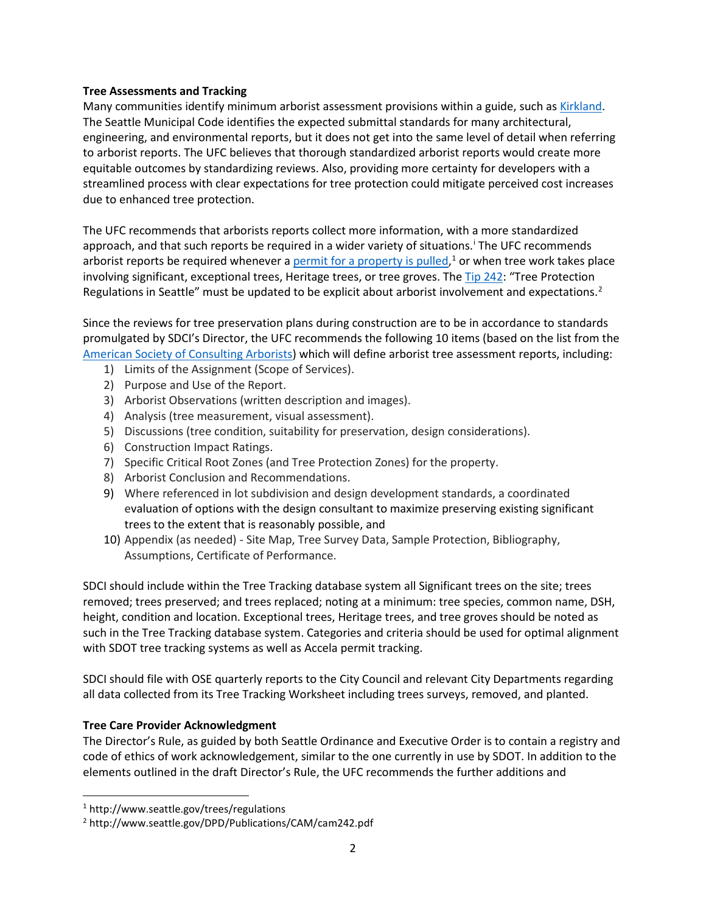## **Tree Assessments and Tracking**

Many communities identify minimum arborist assessment provisions within a guide, such a[s Kirkland.](https://www.kirklandwa.gov/Government/Departments/Planning-and-Building/Urban-Forestry/Arborist-Reports-Guide) The Seattle Municipal Code identifies the expected submittal standards for many architectural, engineering, and environmental reports, but it does not get into the same level of detail when referring to arborist reports. The UFC believes that thorough standardized arborist reports would create more equitable outcomes by standardizing reviews. Also, providing more certainty for developers with a streamlined process with clear expectations for tree protection could mitigate perceived cost increases due to enhanced tree protection.

The UFC recommends that arborists reports collect more information, with a more standardized approach, and that such reports be requ[i](#page-2-0)red in a wider variety of situations. The UFC recommends arborist reports be required whenever a [permit for a property is pulled,](http://www.seattle.gov/trees/regulations)<sup>[1](#page-1-0)</sup> or when tree work takes place involving significant, exceptional trees, Heritage trees, or tree groves. Th[e Tip 242:](http://www.seattle.gov/DPD/Publications/CAM/cam242.pdf) "Tree Protection Regulations in Seattle" must be updated to be explicit about arborist involvement and expectations.<sup>[2](#page-1-1)</sup>

Since the reviews for tree preservation plans during construction are to be in accordance to standards promulgated by SDCI's Director, the UFC recommends the following 10 items (based on the list from the [American Society of Consulting Arborists\)](https://www.asca-consultants.org/page/About) which will define arborist tree assessment reports, including:

- 1) Limits of the Assignment (Scope of Services).
- 2) Purpose and Use of the Report.
- 3) Arborist Observations (written description and images).
- 4) Analysis (tree measurement, visual assessment).
- 5) Discussions (tree condition, suitability for preservation, design considerations).
- 6) Construction Impact Ratings.
- 7) Specific Critical Root Zones (and Tree Protection Zones) for the property.
- 8) Arborist Conclusion and Recommendations.
- 9) Where referenced in lot subdivision and design development standards, a coordinated evaluation of options with the design consultant to maximize preserving existing significant trees to the extent that is reasonably possible, and
- 10) Appendix (as needed) Site Map, Tree Survey Data, Sample Protection, Bibliography, Assumptions, Certificate of Performance.

SDCI should include within the Tree Tracking database system all Significant trees on the site; trees removed; trees preserved; and trees replaced; noting at a minimum: tree species, common name, DSH, height, condition and location. Exceptional trees, Heritage trees, and tree groves should be noted as such in the Tree Tracking database system. Categories and criteria should be used for optimal alignment with SDOT tree tracking systems as well as Accela permit tracking.

SDCI should file with OSE quarterly reports to the City Council and relevant City Departments regarding all data collected from its Tree Tracking Worksheet including trees surveys, removed, and planted.

## **Tree Care Provider Acknowledgment**

The Director's Rule, as guided by both Seattle Ordinance and Executive Order is to contain a registry and code of ethics of work acknowledgement, similar to the one currently in use by SDOT. In addition to the elements outlined in the draft Director's Rule, the UFC recommends the further additions and

<span id="page-1-0"></span><sup>1</sup> http://www.seattle.gov/trees/regulations

<span id="page-1-1"></span><sup>2</sup> http://www.seattle.gov/DPD/Publications/CAM/cam242.pdf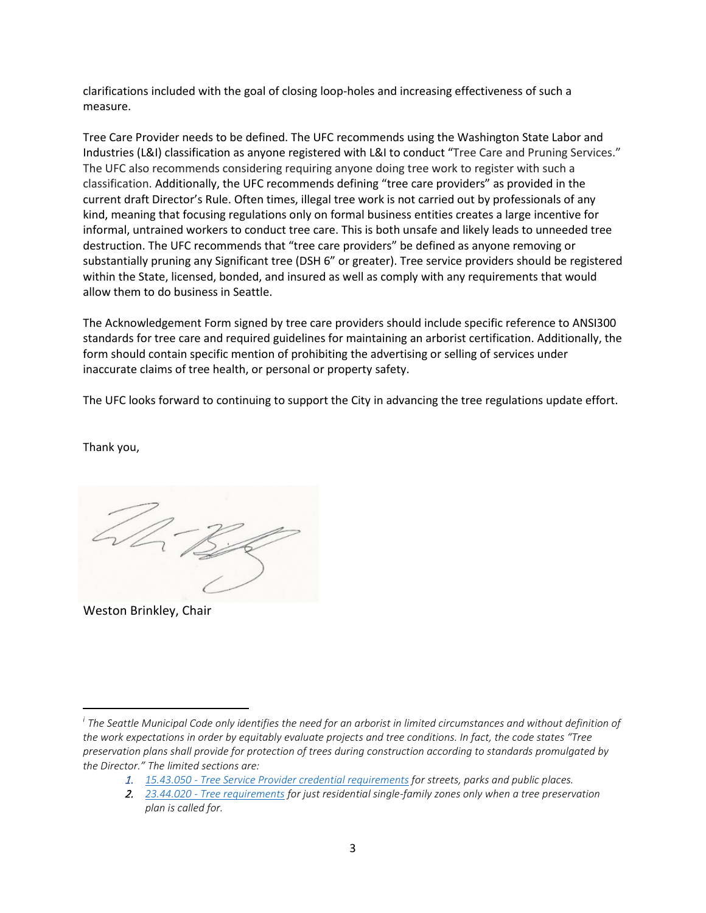clarifications included with the goal of closing loop-holes and increasing effectiveness of such a measure.

Tree Care Provider needs to be defined. The UFC recommends using the Washington State Labor and Industries (L&I) classification as anyone registered with L&I to conduct "Tree Care and Pruning Services." The UFC also recommends considering requiring anyone doing tree work to register with such a classification. Additionally, the UFC recommends defining "tree care providers" as provided in the current draft Director's Rule. Often times, illegal tree work is not carried out by professionals of any kind, meaning that focusing regulations only on formal business entities creates a large incentive for informal, untrained workers to conduct tree care. This is both unsafe and likely leads to unneeded tree destruction. The UFC recommends that "tree care providers" be defined as anyone removing or substantially pruning any Significant tree (DSH 6" or greater). Tree service providers should be registered within the State, licensed, bonded, and insured as well as comply with any requirements that would allow them to do business in Seattle.

The Acknowledgement Form signed by tree care providers should include specific reference to ANSI300 standards for tree care and required guidelines for maintaining an arborist certification. Additionally, the form should contain specific mention of prohibiting the advertising or selling of services under inaccurate claims of tree health, or personal or property safety.

The UFC looks forward to continuing to support the City in advancing the tree regulations update effort.

Thank you,

Weston Brinkley, Chair

<span id="page-2-0"></span>*<sup>i</sup> The Seattle Municipal Code only identifies the need for an arborist in limited circumstances and without definition of the work expectations in order by equitably evaluate projects and tree conditions. In fact, the code states "Tree preservation plans shall provide for protection of trees during construction according to standards promulgated by the Director." The limited sections are:*

<sup>1.</sup> *15.43.050 - [Tree Service Provider credential requirements](https://library.municode.com/wa/seattle/codes/municipal_code?nodeId=TIT15STSIUS_SUBTITLE_ISTUSOR_CH15.43TRVEMAPUPL_15.43.050TRSEPRRE) for streets, parks and public places.*

<sup>2.</sup> *23.44.020 - [Tree requirements](https://library.municode.com/wa/seattle/codes/municipal_code?nodeId=TIT23LAUSCO_SUBTITLE_IIILAUSRE_CH23.44RESIMI_SUBCHAPTER_IPRUSPEOU_23.44.020TRRE) for just residential single-family zones only when a tree preservation plan is called for.*